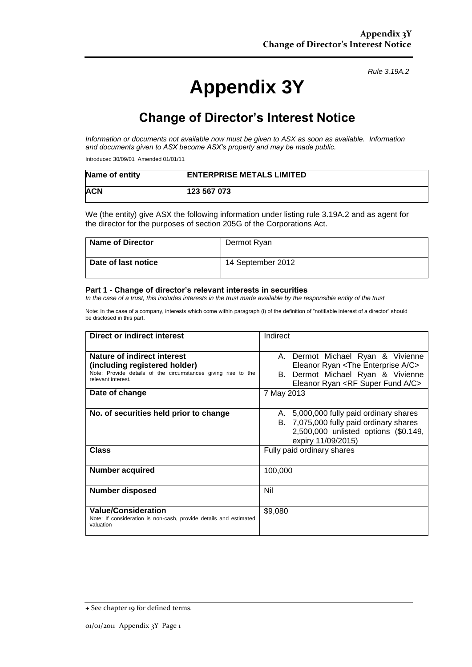# **Appendix 3Y**

*Rule 3.19A.2*

## **Change of Director's Interest Notice**

*Information or documents not available now must be given to ASX as soon as available. Information and documents given to ASX become ASX's property and may be made public.*

Introduced 30/09/01 Amended 01/01/11

| Name of entity | <b>ENTERPRISE METALS LIMITED</b> |
|----------------|----------------------------------|
| <b>ACN</b>     | 123 567 073                      |

We (the entity) give ASX the following information under listing rule 3.19A.2 and as agent for the director for the purposes of section 205G of the Corporations Act.

| Name of Director    | Dermot Ryan       |
|---------------------|-------------------|
| Date of last notice | 14 September 2012 |

#### **Part 1 - Change of director's relevant interests in securities**

*In the case of a trust, this includes interests in the trust made available by the responsible entity of the trust*

Note: In the case of a company, interests which come within paragraph (i) of the definition of "notifiable interest of a director" should be disclosed in this part.

| Direct or indirect interest                                                                                                                         | Indirect                                                                                                                                                                              |  |
|-----------------------------------------------------------------------------------------------------------------------------------------------------|---------------------------------------------------------------------------------------------------------------------------------------------------------------------------------------|--|
| Nature of indirect interest<br>(including registered holder)<br>Note: Provide details of the circumstances giving rise to the<br>relevant interest. | A. Dermot Michael Ryan & Vivienne<br>Eleanor Ryan <the a="" c="" enterprise=""><br/>B. Dermot Michael Ryan &amp; Vivienne<br/>Eleanor Ryan <rf a="" c="" fund="" super=""></rf></the> |  |
| Date of change                                                                                                                                      | 7 May 2013                                                                                                                                                                            |  |
| No. of securities held prior to change<br><b>Class</b>                                                                                              | A. 5,000,000 fully paid ordinary shares<br>B. 7,075,000 fully paid ordinary shares<br>2,500,000 unlisted options (\$0.149,<br>expiry 11/09/2015)<br>Fully paid ordinary shares        |  |
|                                                                                                                                                     |                                                                                                                                                                                       |  |
| <b>Number acquired</b>                                                                                                                              | 100,000                                                                                                                                                                               |  |
| <b>Number disposed</b>                                                                                                                              | Nil                                                                                                                                                                                   |  |
| <b>Value/Consideration</b><br>Note: If consideration is non-cash, provide details and estimated<br>valuation                                        | \$9,080                                                                                                                                                                               |  |

<sup>+</sup> See chapter 19 for defined terms.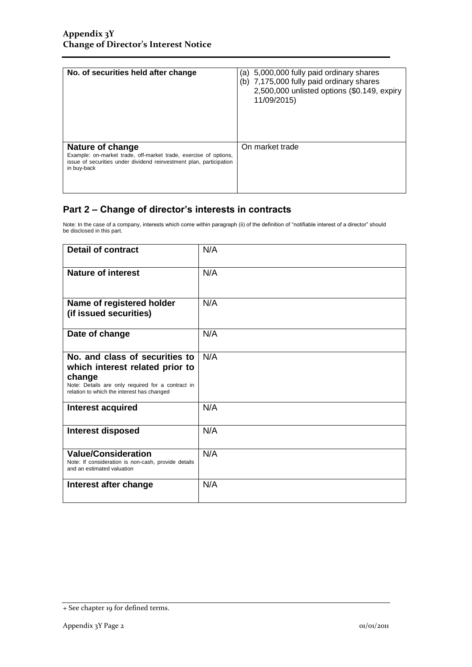| No. of securities held after change                                                                                                                                        | (a) 5,000,000 fully paid ordinary shares<br>(b) 7,175,000 fully paid ordinary shares<br>2,500,000 unlisted options (\$0.149, expiry<br>11/09/2015) |
|----------------------------------------------------------------------------------------------------------------------------------------------------------------------------|----------------------------------------------------------------------------------------------------------------------------------------------------|
| Nature of change<br>Example: on-market trade, off-market trade, exercise of options,<br>issue of securities under dividend reinvestment plan, participation<br>in buy-back | On market trade                                                                                                                                    |

### **Part 2 – Change of director's interests in contracts**

Note: In the case of a company, interests which come within paragraph (ii) of the definition of "notifiable interest of a director" should be disclosed in this part.

| <b>Detail of contract</b>                                                                                                                                                      | N/A |
|--------------------------------------------------------------------------------------------------------------------------------------------------------------------------------|-----|
| <b>Nature of interest</b>                                                                                                                                                      | N/A |
| Name of registered holder<br>(if issued securities)                                                                                                                            | N/A |
| Date of change                                                                                                                                                                 | N/A |
| No. and class of securities to<br>which interest related prior to<br>change<br>Note: Details are only required for a contract in<br>relation to which the interest has changed | N/A |
| <b>Interest acquired</b>                                                                                                                                                       | N/A |
| <b>Interest disposed</b>                                                                                                                                                       | N/A |
| <b>Value/Consideration</b><br>Note: If consideration is non-cash, provide details<br>and an estimated valuation                                                                | N/A |
| Interest after change                                                                                                                                                          | N/A |

<sup>+</sup> See chapter 19 for defined terms.